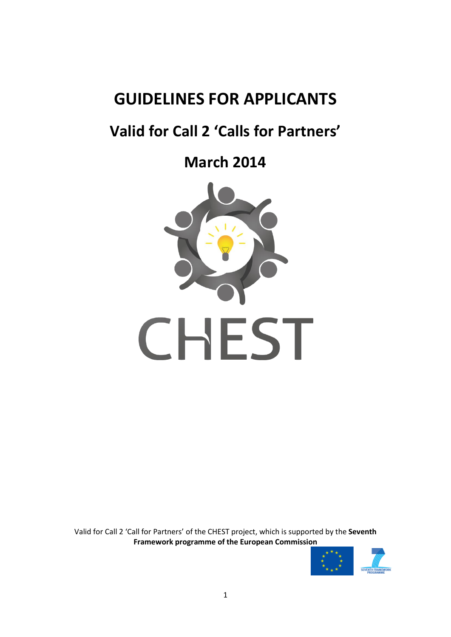# **GUIDELINES FOR APPLICANTS**

# **Valid for Call 2 'Calls for Partners'**

**March 2014**



Valid for Call 2 'Call for Partners' of the CHEST project, which is supported by the **Seventh Framework programme of the European Commission**

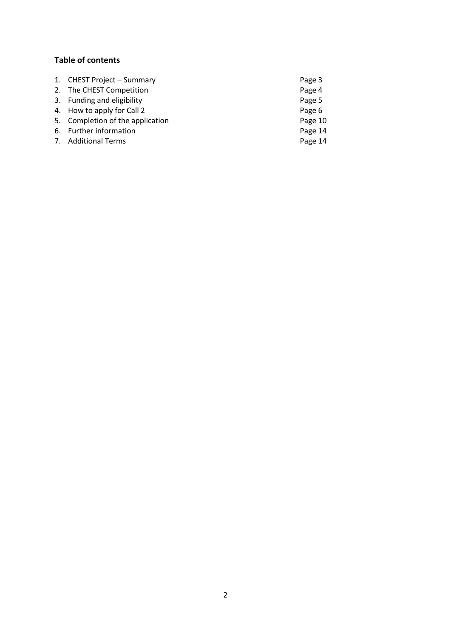# **Table of contents**

| 1. CHEST Project - Summary       | Page 3  |
|----------------------------------|---------|
| 2. The CHEST Competition         | Page 4  |
| 3. Funding and eligibility       | Page 5  |
| 4. How to apply for Call 2       | Page 6  |
| 5. Completion of the application | Page 10 |
| 6. Further information           | Page 14 |
| 7. Additional Terms              | Page 14 |
|                                  |         |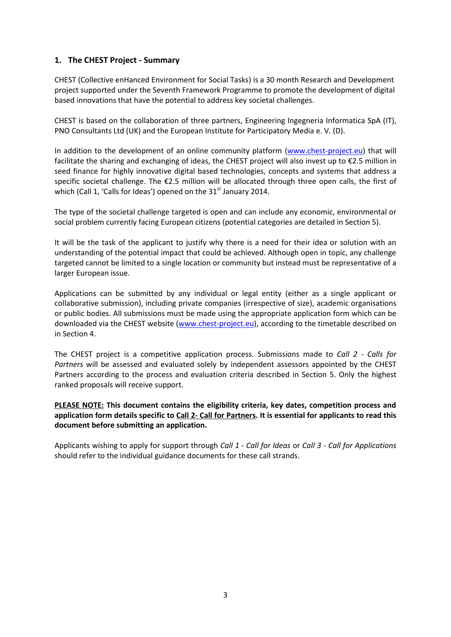# **1. The CHEST Project - Summary**

CHEST (Collective enHanced Environment for Social Tasks) is a 30 month Research and Development project supported under the Seventh Framework Programme to promote the development of digital based innovations that have the potential to address key societal challenges.

CHEST is based on the collaboration of three partners, Engineering Ingegneria Informatica SpA (IT), PNO Consultants Ltd (UK) and the European Institute for Participatory Media e. V. (D).

In addition to the development of an online community platform [\(www.chest-project.eu\)](http://www.chest-project.eu/) that will facilitate the sharing and exchanging of ideas, the CHEST project will also invest up to €2.5 million in seed finance for highly innovative digital based technologies, concepts and systems that address a specific societal challenge. The €2.5 million will be allocated through three open calls, the first of which (Call 1, 'Calls for Ideas') opened on the  $31<sup>st</sup>$  January 2014.

The type of the societal challenge targeted is open and can include any economic, environmental or social problem currently facing European citizens (potential categories are detailed in Section 5).

It will be the task of the applicant to justify why there is a need for their idea or solution with an understanding of the potential impact that could be achieved. Although open in topic, any challenge targeted cannot be limited to a single location or community but instead must be representative of a larger European issue.

Applications can be submitted by any individual or legal entity (either as a single applicant or collaborative submission), including private companies (irrespective of size), academic organisations or public bodies. All submissions must be made using the appropriate application form which can be downloaded via the CHEST website [\(www.chest-project.eu\)](http://www.chest-project.eu/), according to the timetable described on in Section 4.

The CHEST project is a competitive application process. Submissions made to *Call 2 - Calls for Partners* will be assessed and evaluated solely by independent assessors appointed by the CHEST Partners according to the process and evaluation criteria described in Section 5. Only the highest ranked proposals will receive support.

# **PLEASE NOTE: This document contains the eligibility criteria, key dates, competition process and application form details specific to Call 2- Call for Partners. It is essential for applicants to read this document before submitting an application.**

Applicants wishing to apply for support through *Call 1 - Call for Ideas* or *Call 3 - Call for Applications* should refer to the individual guidance documents for these call strands.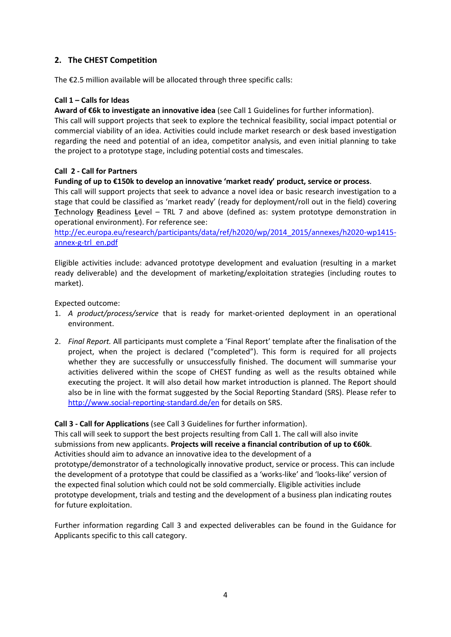# **2. The CHEST Competition**

The €2.5 million available will be allocated through three specific calls:

## **Call 1 – Calls for Ideas**

## **Award of €6k to investigate an innovative idea** (see Call 1 Guidelines for further information).

This call will support projects that seek to explore the technical feasibility, social impact potential or commercial viability of an idea. Activities could include market research or desk based investigation regarding the need and potential of an idea, competitor analysis, and even initial planning to take the project to a prototype stage, including potential costs and timescales.

# **Call 2 - Call for Partners**

## **Funding of up to €150k to develop an innovative 'market ready' product, service or process**.

This call will support projects that seek to advance a novel idea or basic research investigation to a stage that could be classified as 'market ready' (ready for deployment/roll out in the field) covering **T**echnology **R**eadiness **L**evel – TRL 7 and above (defined as: system prototype demonstration in operational environment). For reference see:

[http://ec.europa.eu/research/participants/data/ref/h2020/wp/2014\\_2015/annexes/h2020-wp1415](http://ec.europa.eu/research/participants/data/ref/h2020/wp/2014_2015/annexes/h2020-wp1415-annex-g-trl_en.pdf) [annex-g-trl\\_en.pdf](http://ec.europa.eu/research/participants/data/ref/h2020/wp/2014_2015/annexes/h2020-wp1415-annex-g-trl_en.pdf)

Eligible activities include: advanced prototype development and evaluation (resulting in a market ready deliverable) and the development of marketing/exploitation strategies (including routes to market).

Expected outcome:

- 1. *A product/process/service* that is ready for market-oriented deployment in an operational environment.
- 2. *Final Report.* All participants must complete a 'Final Report' template after the finalisation of the project, when the project is declared ("completed"). This form is required for all projects whether they are successfully or unsuccessfully finished. The document will summarise your activities delivered within the scope of CHEST funding as well as the results obtained while executing the project. It will also detail how market introduction is planned. The Report should also be in line with the format suggested by the Social Reporting Standard (SRS). Please refer to <http://www.social-reporting-standard.de/en> for details on SRS.

#### **Call 3 - Call for Applications** (see Call 3 Guidelines for further information).

This call will seek to support the best projects resulting from Call 1. The call will also invite submissions from new applicants. **Projects will receive a financial contribution of up to €60k**. Activities should aim to advance an innovative idea to the development of a prototype/demonstrator of a technologically innovative product, service or process. This can include the development of a prototype that could be classified as a 'works-like' and 'looks-like' version of the expected final solution which could not be sold commercially. Eligible activities include prototype development, trials and testing and the development of a business plan indicating routes for future exploitation.

Further information regarding Call 3 and expected deliverables can be found in the Guidance for Applicants specific to this call category.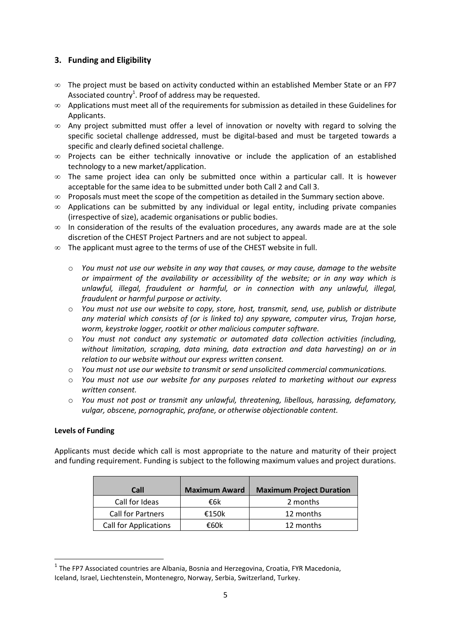# **3. Funding and Eligibility**

- ∞ The project must be based on activity conducted within an established Member State or an FP7 Associated country<sup>1</sup>. Proof of address may be requested.
- ∞ Applications must meet all of the requirements for submission as detailed in these Guidelines for Applicants.
- ∞ Any project submitted must offer a level of innovation or novelty with regard to solving the specific societal challenge addressed, must be digital-based and must be targeted towards a specific and clearly defined societal challenge.
- ∞ Projects can be either technically innovative or include the application of an established technology to a new market/application.
- $\infty$  The same project idea can only be submitted once within a particular call. It is however acceptable for the same idea to be submitted under both Call 2 and Call 3.
- $\infty$  Proposals must meet the scope of the competition as detailed in the Summary section above.
- ∞ Applications can be submitted by any individual or legal entity, including private companies (irrespective of size), academic organisations or public bodies.
- ∞ In consideration of the results of the evaluation procedures, any awards made are at the sole discretion of the CHEST Project Partners and are not subject to appeal.
- ∞ The applicant must agree to the terms of use of the CHEST website in full.
	- o *You must not use our website in any way that causes, or may cause, damage to the website or impairment of the availability or accessibility of the website; or in any way which is unlawful, illegal, fraudulent or harmful, or in connection with any unlawful, illegal, fraudulent or harmful purpose or activity.*
	- o *You must not use our website to copy, store, host, transmit, send, use, publish or distribute any material which consists of (or is linked to) any spyware, computer virus, Trojan horse, worm, keystroke logger, rootkit or other malicious computer software.*
	- o *You must not conduct any systematic or automated data collection activities (including, without limitation, scraping, data mining, data extraction and data harvesting) on or in relation to our website without our express written consent.*
	- o *You must not use our website to transmit or send unsolicited commercial communications.*
	- o *You must not use our website for any purposes related to marketing without our express written consent.*
	- o *You must not post or transmit any unlawful, threatening, libellous, harassing, defamatory, vulgar, obscene, pornographic, profane, or otherwise objectionable content.*

#### **Levels of Funding**

**.** 

Applicants must decide which call is most appropriate to the nature and maturity of their project and funding requirement. Funding is subject to the following maximum values and project durations.

| Call                         | <b>Maximum Award</b> | <b>Maximum Project Duration</b> |
|------------------------------|----------------------|---------------------------------|
| Call for Ideas               | €6k                  | 2 months                        |
| <b>Call for Partners</b>     | €150 $k$             | 12 months                       |
| <b>Call for Applications</b> | €60k                 | 12 months                       |

 $<sup>1</sup>$  The FP7 Associated countries are Albania, Bosnia and Herzegovina, Croatia, FYR Macedonia,</sup> Iceland, Israel, Liechtenstein, Montenegro, Norway, Serbia, Switzerland, Turkey.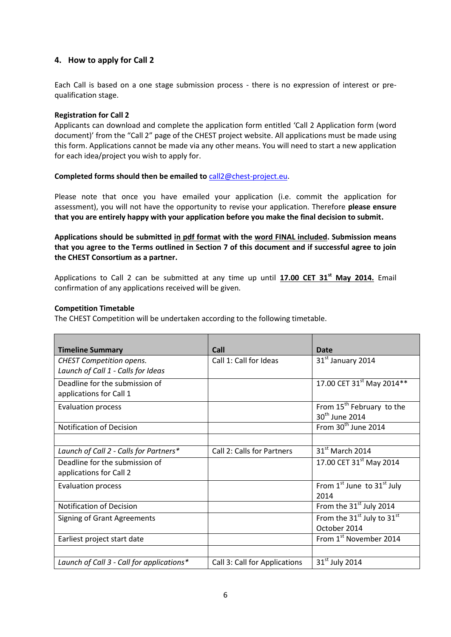# **4. How to apply for Call 2**

Each Call is based on a one stage submission process - there is no expression of interest or prequalification stage.

#### **Registration for Call 2**

Applicants can download and complete the application form entitled 'Call 2 Application form (word document)' from the "Call 2" page of the CHEST project website. All applications must be made using this form. Applications cannot be made via any other means. You will need to start a new application for each idea/project you wish to apply for.

## **Completed forms should then be emailed to** [call2@chest-project.eu.](mailto:call2@chest-project.eu)

Please note that once you have emailed your application (i.e. commit the application for assessment), you will not have the opportunity to revise your application. Therefore **please ensure that you are entirely happy with your application before you make the final decision to submit.**

# **Applications should be submitted in pdf format with the word FINAL included. Submission means that you agree to the Terms outlined in Section 7 of this document and if successful agree to join the CHEST Consortium as a partner.**

Applications to Call 2 can be submitted at any time up until **17.00 CET 31st May 2014.** Email confirmation of any applications received will be given.

#### **Competition Timetable**

The CHEST Competition will be undertaken according to the following timetable.

| <b>Timeline Summary</b>                                               | Call                          | Date                                                                |
|-----------------------------------------------------------------------|-------------------------------|---------------------------------------------------------------------|
| <b>CHEST Competition opens.</b><br>Launch of Call 1 - Calls for Ideas | Call 1: Call for Ideas        | 31 <sup>st</sup> January 2014                                       |
| Deadline for the submission of<br>applications for Call 1             |                               | 17.00 CET 31 <sup>st</sup> May 2014**                               |
| <b>Evaluation process</b>                                             |                               | From 15 <sup>th</sup> February to the<br>30 <sup>th</sup> June 2014 |
| <b>Notification of Decision</b>                                       |                               | From 30 <sup>th</sup> June 2014                                     |
| Launch of Call 2 - Calls for Partners*                                | Call 2: Calls for Partners    | 31 <sup>st</sup> March 2014                                         |
| Deadline for the submission of<br>applications for Call 2             |                               | 17.00 CET 31 <sup>st</sup> May 2014                                 |
| <b>Evaluation process</b>                                             |                               | From 1st June to 31st July<br>2014                                  |
| Notification of Decision                                              |                               | From the 31 <sup>st</sup> July 2014                                 |
| Signing of Grant Agreements                                           |                               | From the 31 <sup>st</sup> July to 31 <sup>st</sup><br>October 2014  |
| Earliest project start date                                           |                               | From 1st November 2014                                              |
|                                                                       |                               |                                                                     |
| Launch of Call 3 - Call for applications*                             | Call 3: Call for Applications | $31st$ July 2014                                                    |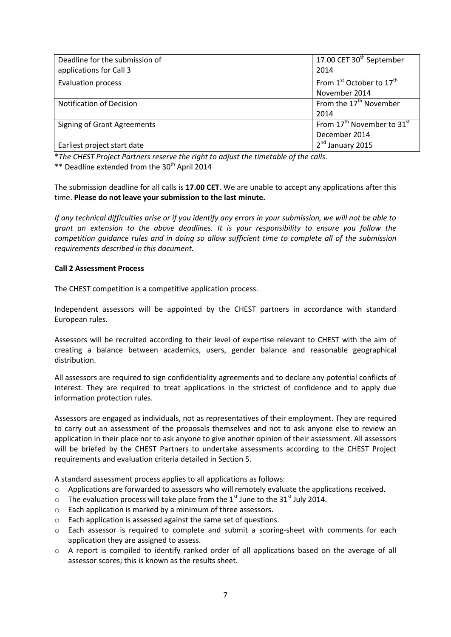| Deadline for the submission of     | 17.00 CET 30 <sup>th</sup> September               |
|------------------------------------|----------------------------------------------------|
| applications for Call 3            | 2014                                               |
| <b>Evaluation process</b>          | From 1 <sup>st</sup> October to 17 <sup>th</sup>   |
|                                    | November 2014                                      |
| Notification of Decision           | From the 17 <sup>th</sup> November                 |
|                                    | 2014                                               |
| <b>Signing of Grant Agreements</b> | From 17 <sup>th</sup> November to 31 <sup>st</sup> |
|                                    | December 2014                                      |
| Earliest project start date        | 2 <sup>nd</sup> January 2015                       |

\**The CHEST Project Partners reserve the right to adjust the timetable of the calls.*

\*\* Deadline extended from the  $30<sup>th</sup>$  April 2014

The submission deadline for all calls is **17.00 CET**. We are unable to accept any applications after this time. **Please do not leave your submission to the last minute.**

*If any technical difficulties arise or if you identify any errors in your submission, we will not be able to grant an extension to the above deadlines. It is your responsibility to ensure you follow the competition guidance rules and in doing so allow sufficient time to complete all of the submission requirements described in this document.*

# **Call 2 Assessment Process**

The CHEST competition is a competitive application process.

Independent assessors will be appointed by the CHEST partners in accordance with standard European rules.

Assessors will be recruited according to their level of expertise relevant to CHEST with the aim of creating a balance between academics, users, gender balance and reasonable geographical distribution.

All assessors are required to sign confidentiality agreements and to declare any potential conflicts of interest. They are required to treat applications in the strictest of confidence and to apply due information protection rules.

Assessors are engaged as individuals, not as representatives of their employment. They are required to carry out an assessment of the proposals themselves and not to ask anyone else to review an application in their place nor to ask anyone to give another opinion of their assessment. All assessors will be briefed by the CHEST Partners to undertake assessments according to the CHEST Project requirements and evaluation criteria detailed in Section 5.

A standard assessment process applies to all applications as follows:

- $\circ$  Applications are forwarded to assessors who will remotely evaluate the applications received.
- $\circ$  The evaluation process will take place from the 1<sup>st</sup> June to the 31<sup>st</sup> July 2014.
- o Each application is marked by a minimum of three assessors.
- o Each application is assessed against the same set of questions.
- o Each assessor is required to complete and submit a scoring-sheet with comments for each application they are assigned to assess.
- o A report is compiled to identify ranked order of all applications based on the average of all assessor scores; this is known as the results sheet.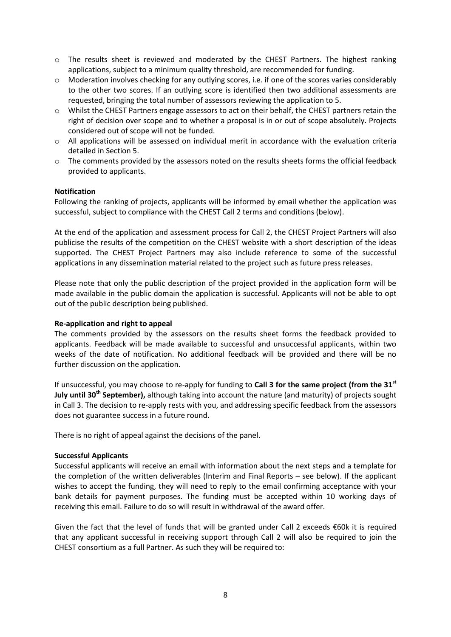- o The results sheet is reviewed and moderated by the CHEST Partners. The highest ranking applications, subject to a minimum quality threshold, are recommended for funding.
- $\circ$  Moderation involves checking for any outlying scores, i.e. if one of the scores varies considerably to the other two scores. If an outlying score is identified then two additional assessments are requested, bringing the total number of assessors reviewing the application to 5.
- o Whilst the CHEST Partners engage assessors to act on their behalf, the CHEST partners retain the right of decision over scope and to whether a proposal is in or out of scope absolutely. Projects considered out of scope will not be funded.
- $\circ$  All applications will be assessed on individual merit in accordance with the evaluation criteria detailed in Section 5.
- o The comments provided by the assessors noted on the results sheets forms the official feedback provided to applicants.

#### **Notification**

Following the ranking of projects, applicants will be informed by email whether the application was successful, subject to compliance with the CHEST Call 2 terms and conditions (below).

At the end of the application and assessment process for Call 2, the CHEST Project Partners will also publicise the results of the competition on the CHEST website with a short description of the ideas supported. The CHEST Project Partners may also include reference to some of the successful applications in any dissemination material related to the project such as future press releases.

Please note that only the public description of the project provided in the application form will be made available in the public domain the application is successful. Applicants will not be able to opt out of the public description being published.

#### **Re-application and right to appeal**

The comments provided by the assessors on the results sheet forms the feedback provided to applicants. Feedback will be made available to successful and unsuccessful applicants, within two weeks of the date of notification. No additional feedback will be provided and there will be no further discussion on the application.

If unsuccessful, you may choose to re-apply for funding to **Call 3 for the same project (from the 31st July until 30th September),** although taking into account the nature (and maturity) of projects sought in Call 3. The decision to re-apply rests with you, and addressing specific feedback from the assessors does not guarantee success in a future round.

There is no right of appeal against the decisions of the panel.

#### **Successful Applicants**

Successful applicants will receive an email with information about the next steps and a template for the completion of the written deliverables (Interim and Final Reports – see below). If the applicant wishes to accept the funding, they will need to reply to the email confirming acceptance with your bank details for payment purposes. The funding must be accepted within 10 working days of receiving this email. Failure to do so will result in withdrawal of the award offer.

Given the fact that the level of funds that will be granted under Call 2 exceeds  $\epsilon$ 60k it is required that any applicant successful in receiving support through Call 2 will also be required to join the CHEST consortium as a full Partner. As such they will be required to: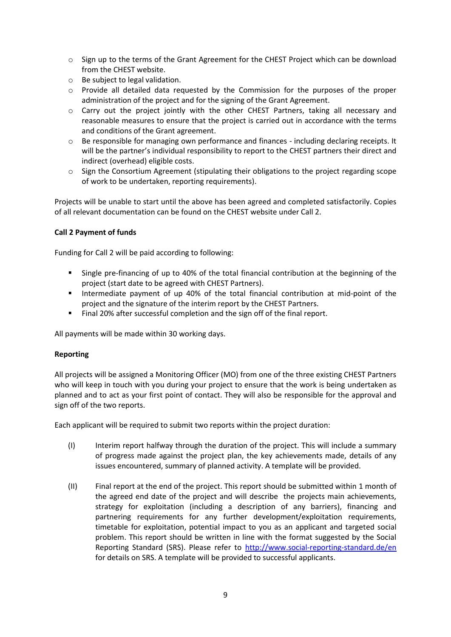- o Sign up to the terms of the Grant Agreement for the CHEST Project which can be download from the CHEST website.
- o Be subject to legal validation.
- $\circ$  Provide all detailed data requested by the Commission for the purposes of the proper administration of the project and for the signing of the Grant Agreement.
- o Carry out the project jointly with the other CHEST Partners, taking all necessary and reasonable measures to ensure that the project is carried out in accordance with the terms and conditions of the Grant agreement.
- o Be responsible for managing own performance and finances including declaring receipts. It will be the partner's individual responsibility to report to the CHEST partners their direct and indirect (overhead) eligible costs.
- $\circ$  Sign the Consortium Agreement (stipulating their obligations to the project regarding scope of work to be undertaken, reporting requirements).

Projects will be unable to start until the above has been agreed and completed satisfactorily. Copies of all relevant documentation can be found on the CHEST website under Call 2.

# **Call 2 Payment of funds**

Funding for Call 2 will be paid according to following:

- Single pre-financing of up to 40% of the total financial contribution at the beginning of the project (start date to be agreed with CHEST Partners).
- Intermediate payment of up 40% of the total financial contribution at mid-point of the project and the signature of the interim report by the CHEST Partners.
- Final 20% after successful completion and the sign off of the final report.

All payments will be made within 30 working days.

#### **Reporting**

All projects will be assigned a Monitoring Officer (MO) from one of the three existing CHEST Partners who will keep in touch with you during your project to ensure that the work is being undertaken as planned and to act as your first point of contact. They will also be responsible for the approval and sign off of the two reports.

Each applicant will be required to submit two reports within the project duration:

- (I) Interim report halfway through the duration of the project. This will include a summary of progress made against the project plan, the key achievements made, details of any issues encountered, summary of planned activity. A template will be provided.
- (II) Final report at the end of the project. This report should be submitted within 1 month of the agreed end date of the project and will describe the projects main achievements, strategy for exploitation (including a description of any barriers), financing and partnering requirements for any further development/exploitation requirements, timetable for exploitation, potential impact to you as an applicant and targeted social problem. This report should be written in line with the format suggested by the Social Reporting Standard (SRS). Please refer to<http://www.social-reporting-standard.de/en> for details on SRS. A template will be provided to successful applicants.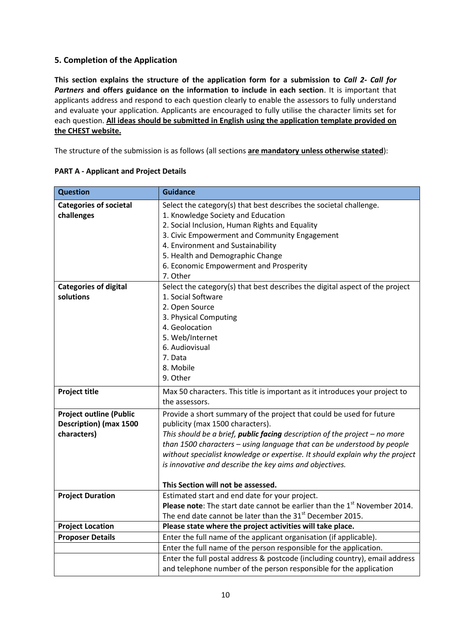# **5. Completion of the Application**

**This section explains the structure of the application form for a submission to** *Call 2- Call for Partners* **and offers guidance on the information to include in each section**. It is important that applicants address and respond to each question clearly to enable the assessors to fully understand and evaluate your application. Applicants are encouraged to fully utilise the character limits set for each question. **All ideas should be submitted in English using the application template provided on the CHEST website.**

The structure of the submission is as follows (all sections **are mandatory unless otherwise stated**):

| <b>Question</b>                | <b>Guidance</b>                                                                       |
|--------------------------------|---------------------------------------------------------------------------------------|
| <b>Categories of societal</b>  | Select the category(s) that best describes the societal challenge.                    |
| challenges                     | 1. Knowledge Society and Education                                                    |
|                                | 2. Social Inclusion, Human Rights and Equality                                        |
|                                | 3. Civic Empowerment and Community Engagement                                         |
|                                | 4. Environment and Sustainability                                                     |
|                                | 5. Health and Demographic Change                                                      |
|                                | 6. Economic Empowerment and Prosperity                                                |
|                                | 7. Other                                                                              |
| <b>Categories of digital</b>   | Select the category(s) that best describes the digital aspect of the project          |
| solutions                      | 1. Social Software                                                                    |
|                                | 2. Open Source                                                                        |
|                                | 3. Physical Computing                                                                 |
|                                | 4. Geolocation                                                                        |
|                                | 5. Web/Internet                                                                       |
|                                | 6. Audiovisual                                                                        |
|                                | 7. Data                                                                               |
|                                | 8. Mobile                                                                             |
|                                | 9. Other                                                                              |
| <b>Project title</b>           | Max 50 characters. This title is important as it introduces your project to           |
|                                | the assessors.                                                                        |
| <b>Project outline (Public</b> | Provide a short summary of the project that could be used for future                  |
| <b>Description) (max 1500</b>  | publicity (max 1500 characters).                                                      |
| characters)                    | This should be a brief, <i>public facing</i> description of the project $-$ no more   |
|                                | than 1500 characters - using language that can be understood by people                |
|                                | without specialist knowledge or expertise. It should explain why the project          |
|                                | is innovative and describe the key aims and objectives.                               |
|                                | This Section will not be assessed.                                                    |
| <b>Project Duration</b>        | Estimated start and end date for your project.                                        |
|                                | Please note: The start date cannot be earlier than the 1 <sup>st</sup> November 2014. |
|                                | The end date cannot be later than the 31 <sup>st</sup> December 2015.                 |
| <b>Project Location</b>        | Please state where the project activities will take place.                            |
| <b>Proposer Details</b>        | Enter the full name of the applicant organisation (if applicable).                    |
|                                | Enter the full name of the person responsible for the application.                    |
|                                | Enter the full postal address & postcode (including country), email address           |
|                                | and telephone number of the person responsible for the application                    |

## **PART A - Applicant and Project Details**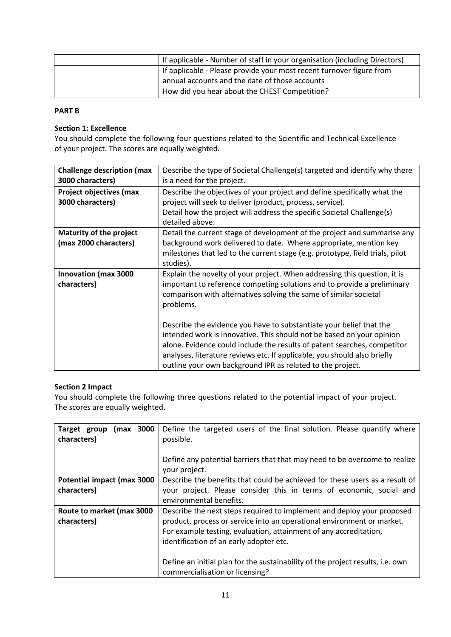| If applicable - Number of staff in your organisation (including Directors) |
|----------------------------------------------------------------------------|
| If applicable - Please provide your most recent turnover figure from       |
| annual accounts and the date of those accounts                             |
| How did you hear about the CHEST Competition?                              |

#### **PART B**

## **Section 1: Excellence**

You should complete the following four questions related to the Scientific and Technical Excellence of your project. The scores are equally weighted.

| <b>Challenge description (max</b>                | Describe the type of Societal Challenge(s) targeted and identify why there                                                                                                                                                                                                                                                                                         |
|--------------------------------------------------|--------------------------------------------------------------------------------------------------------------------------------------------------------------------------------------------------------------------------------------------------------------------------------------------------------------------------------------------------------------------|
| 3000 characters)                                 | is a need for the project.                                                                                                                                                                                                                                                                                                                                         |
| <b>Project objectives (max</b>                   | Describe the objectives of your project and define specifically what the                                                                                                                                                                                                                                                                                           |
| 3000 characters)                                 | project will seek to deliver (product, process, service).                                                                                                                                                                                                                                                                                                          |
|                                                  | Detail how the project will address the specific Societal Challenge(s)<br>detailed above.                                                                                                                                                                                                                                                                          |
| Maturity of the project<br>(max 2000 characters) | Detail the current stage of development of the project and summarise any<br>background work delivered to date. Where appropriate, mention key<br>milestones that led to the current stage (e.g. prototype, field trials, pilot<br>studies).                                                                                                                        |
| <b>Innovation (max 3000</b><br>characters)       | Explain the novelty of your project. When addressing this question, it is<br>important to reference competing solutions and to provide a preliminary<br>comparison with alternatives solving the same of similar societal<br>problems.                                                                                                                             |
|                                                  | Describe the evidence you have to substantiate your belief that the<br>intended work is innovative. This should not be based on your opinion<br>alone. Evidence could include the results of patent searches, competitor<br>analyses, literature reviews etc. If applicable, you should also briefly<br>outline your own background IPR as related to the project. |

#### **Section 2 Impact**

You should complete the following three questions related to the potential impact of your project. The scores are equally weighted.

| 3000<br>Target group<br>(max<br>characters) | Define the targeted users of the final solution. Please quantify where<br>possible.<br>Define any potential barriers that that may need to be overcome to realize<br>your project. |
|---------------------------------------------|------------------------------------------------------------------------------------------------------------------------------------------------------------------------------------|
| Potential impact (max 3000                  | Describe the benefits that could be achieved for these users as a result of                                                                                                        |
| characters)                                 | your project. Please consider this in terms of economic, social and                                                                                                                |
|                                             | environmental benefits.                                                                                                                                                            |
| Route to market (max 3000                   | Describe the next steps required to implement and deploy your proposed                                                                                                             |
| characters)                                 | product, process or service into an operational environment or market.                                                                                                             |
|                                             | For example testing, evaluation, attainment of any accreditation,                                                                                                                  |
|                                             | identification of an early adopter etc.                                                                                                                                            |
|                                             |                                                                                                                                                                                    |
|                                             | Define an initial plan for the sustainability of the project results, i.e. own                                                                                                     |
|                                             | commercialisation or licensing?                                                                                                                                                    |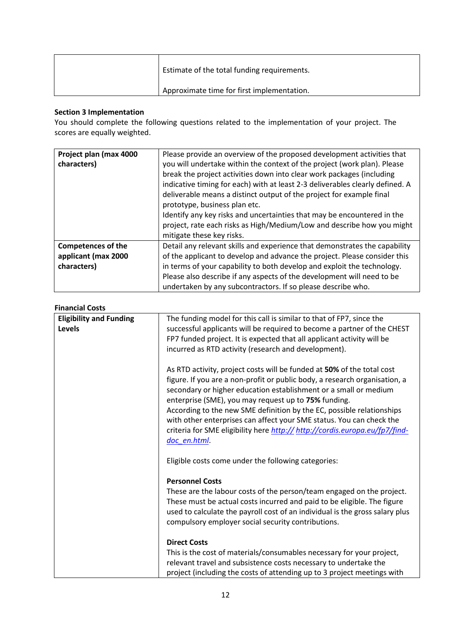| Estimate of the total funding requirements. |
|---------------------------------------------|
| Approximate time for first implementation.  |

# **Section 3 Implementation**

You should complete the following questions related to the implementation of your project. The scores are equally weighted.

| Project plan (max 4000<br>characters) | Please provide an overview of the proposed development activities that<br>you will undertake within the context of the project (work plan). Please<br>break the project activities down into clear work packages (including<br>indicative timing for each) with at least 2-3 deliverables clearly defined. A<br>deliverable means a distinct output of the project for example final<br>prototype, business plan etc.<br>Identify any key risks and uncertainties that may be encountered in the<br>project, rate each risks as High/Medium/Low and describe how you might<br>mitigate these key risks. |
|---------------------------------------|---------------------------------------------------------------------------------------------------------------------------------------------------------------------------------------------------------------------------------------------------------------------------------------------------------------------------------------------------------------------------------------------------------------------------------------------------------------------------------------------------------------------------------------------------------------------------------------------------------|
| <b>Competences of the</b>             | Detail any relevant skills and experience that demonstrates the capability                                                                                                                                                                                                                                                                                                                                                                                                                                                                                                                              |
| applicant (max 2000                   | of the applicant to develop and advance the project. Please consider this                                                                                                                                                                                                                                                                                                                                                                                                                                                                                                                               |
| characters)                           | in terms of your capability to both develop and exploit the technology.                                                                                                                                                                                                                                                                                                                                                                                                                                                                                                                                 |
|                                       | Please also describe if any aspects of the development will need to be                                                                                                                                                                                                                                                                                                                                                                                                                                                                                                                                  |
|                                       | undertaken by any subcontractors. If so please describe who.                                                                                                                                                                                                                                                                                                                                                                                                                                                                                                                                            |

# **Financial Costs**

| <b>Eligibility and Funding</b> | The funding model for this call is similar to that of FP7, since the         |
|--------------------------------|------------------------------------------------------------------------------|
| Levels                         | successful applicants will be required to become a partner of the CHEST      |
|                                | FP7 funded project. It is expected that all applicant activity will be       |
|                                | incurred as RTD activity (research and development).                         |
|                                | As RTD activity, project costs will be funded at 50% of the total cost       |
|                                | figure. If you are a non-profit or public body, a research organisation, a   |
|                                | secondary or higher education establishment or a small or medium             |
|                                | enterprise (SME), you may request up to 75% funding.                         |
|                                | According to the new SME definition by the EC, possible relationships        |
|                                | with other enterprises can affect your SME status. You can check the         |
|                                | criteria for SME eligibility here http:// http://cordis.europa.eu/fp7/find-  |
|                                | doc en.html                                                                  |
|                                | Eligible costs come under the following categories:                          |
|                                | <b>Personnel Costs</b>                                                       |
|                                | These are the labour costs of the person/team engaged on the project.        |
|                                | These must be actual costs incurred and paid to be eligible. The figure      |
|                                | used to calculate the payroll cost of an individual is the gross salary plus |
|                                | compulsory employer social security contributions.                           |
|                                | <b>Direct Costs</b>                                                          |
|                                | This is the cost of materials/consumables necessary for your project,        |
|                                | relevant travel and subsistence costs necessary to undertake the             |
|                                | project (including the costs of attending up to 3 project meetings with      |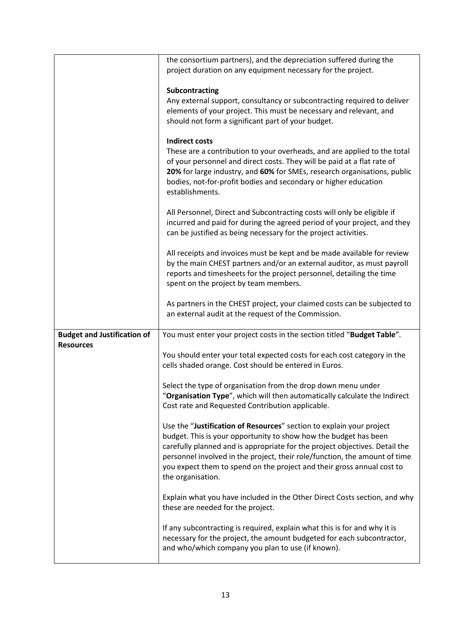|                                    | the consortium partners), and the depreciation suffered during the          |
|------------------------------------|-----------------------------------------------------------------------------|
|                                    | project duration on any equipment necessary for the project.                |
|                                    |                                                                             |
|                                    | Subcontracting                                                              |
|                                    | Any external support, consultancy or subcontracting required to deliver     |
|                                    | elements of your project. This must be necessary and relevant, and          |
|                                    | should not form a significant part of your budget.                          |
|                                    |                                                                             |
|                                    | <b>Indirect costs</b>                                                       |
|                                    | These are a contribution to your overheads, and are applied to the total    |
|                                    | of your personnel and direct costs. They will be paid at a flat rate of     |
|                                    | 20% for large industry, and 60% for SMEs, research organisations, public    |
|                                    | bodies, not-for-profit bodies and secondary or higher education             |
|                                    | establishments.                                                             |
|                                    |                                                                             |
|                                    | All Personnel, Direct and Subcontracting costs will only be eligible if     |
|                                    | incurred and paid for during the agreed period of your project, and they    |
|                                    | can be justified as being necessary for the project activities.             |
|                                    |                                                                             |
|                                    | All receipts and invoices must be kept and be made available for review     |
|                                    | by the main CHEST partners and/or an external auditor, as must payroll      |
|                                    | reports and timesheets for the project personnel, detailing the time        |
|                                    | spent on the project by team members.                                       |
|                                    |                                                                             |
|                                    | As partners in the CHEST project, your claimed costs can be subjected to    |
|                                    |                                                                             |
|                                    |                                                                             |
|                                    | an external audit at the request of the Commission.                         |
|                                    |                                                                             |
| <b>Budget and Justification of</b> | You must enter your project costs in the section titled "Budget Table".     |
| <b>Resources</b>                   |                                                                             |
|                                    | You should enter your total expected costs for each cost category in the    |
|                                    | cells shaded orange. Cost should be entered in Euros.                       |
|                                    |                                                                             |
|                                    | Select the type of organisation from the drop down menu under               |
|                                    | "Organisation Type", which will then automatically calculate the Indirect   |
|                                    | Cost rate and Requested Contribution applicable.                            |
|                                    |                                                                             |
|                                    | Use the "Justification of Resources" section to explain your project        |
|                                    | budget. This is your opportunity to show how the budget has been            |
|                                    | carefully planned and is appropriate for the project objectives. Detail the |
|                                    | personnel involved in the project, their role/function, the amount of time  |
|                                    | you expect them to spend on the project and their gross annual cost to      |
|                                    | the organisation.                                                           |
|                                    |                                                                             |
|                                    | Explain what you have included in the Other Direct Costs section, and why   |
|                                    | these are needed for the project.                                           |
|                                    |                                                                             |
|                                    | If any subcontracting is required, explain what this is for and why it is   |
|                                    | necessary for the project, the amount budgeted for each subcontractor,      |
|                                    | and who/which company you plan to use (if known).                           |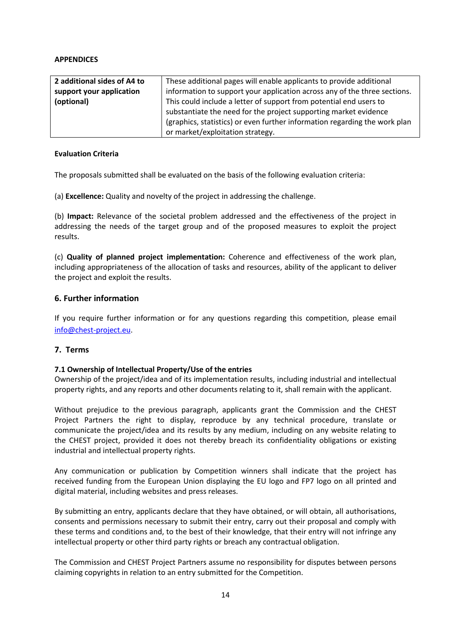#### **APPENDICES**

| 2 additional sides of A4 to | These additional pages will enable applicants to provide additional        |
|-----------------------------|----------------------------------------------------------------------------|
| support your application    | information to support your application across any of the three sections.  |
| (optional)                  | This could include a letter of support from potential end users to         |
|                             | substantiate the need for the project supporting market evidence           |
|                             | (graphics, statistics) or even further information regarding the work plan |
|                             | or market/exploitation strategy.                                           |

## **Evaluation Criteria**

The proposals submitted shall be evaluated on the basis of the following evaluation criteria:

(a) **Excellence:** Quality and novelty of the project in addressing the challenge.

(b) **Impact:** Relevance of the societal problem addressed and the effectiveness of the project in addressing the needs of the target group and of the proposed measures to exploit the project results.

(c) **Quality of planned project implementation:** Coherence and effectiveness of the work plan, including appropriateness of the allocation of tasks and resources, ability of the applicant to deliver the project and exploit the results.

#### **6. Further information**

If you require further information or for any questions regarding this competition, please email [info@chest-project.eu.](mailto:info@chest-project.eu)

#### **7. Terms**

#### **7.1 Ownership of Intellectual Property/Use of the entries**

Ownership of the project/idea and of its implementation results, including industrial and intellectual property rights, and any reports and other documents relating to it, shall remain with the applicant.

Without prejudice to the previous paragraph, applicants grant the Commission and the CHEST Project Partners the right to display, reproduce by any technical procedure, translate or communicate the project/idea and its results by any medium, including on any website relating to the CHEST project, provided it does not thereby breach its confidentiality obligations or existing industrial and intellectual property rights.

Any communication or publication by Competition winners shall indicate that the project has received funding from the European Union displaying the EU logo and FP7 logo on all printed and digital material, including websites and press releases.

By submitting an entry, applicants declare that they have obtained, or will obtain, all authorisations, consents and permissions necessary to submit their entry, carry out their proposal and comply with these terms and conditions and, to the best of their knowledge, that their entry will not infringe any intellectual property or other third party rights or breach any contractual obligation.

The Commission and CHEST Project Partners assume no responsibility for disputes between persons claiming copyrights in relation to an entry submitted for the Competition.